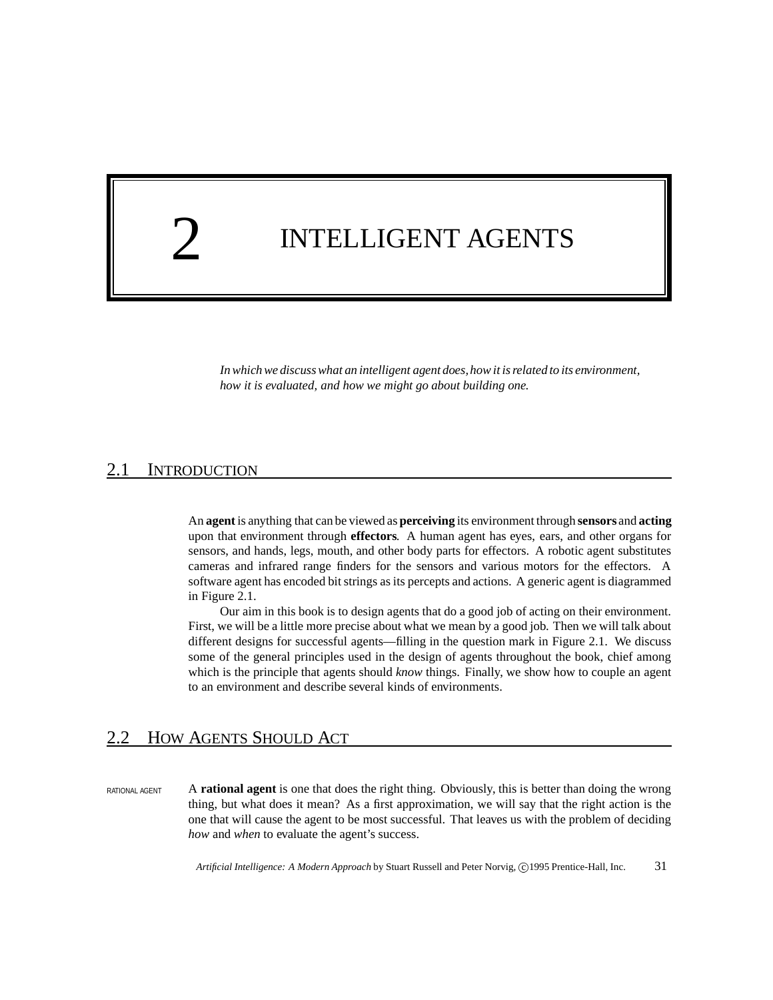# 2 INTELLIGENT AGENTS

*Inwhichwe discusswhat an intelligent agent does,howitisrelated to its environment, how it is evaluated, and how we might go about building one.*

#### 2.1 INTRODUCTION

An **agent**is anything that can be viewed as**perceiving** its environmentthrough **sensors** and **acting** upon that environment through **effectors**. A human agent has eyes, ears, and other organs for sensors, and hands, legs, mouth, and other body parts for effectors. A robotic agent substitutes cameras and infrared range finders for the sensors and various motors for the effectors. A software agent has encoded bit strings as its percepts and actions. A generic agent is diagrammed in Figure 2.1.

Our aim in this book is to design agents that do a good job of acting on their environment. First, we will be a little more precise about what we mean by a good job. Then we will talk about different designs for successful agents—filling in the question mark in Figure 2.1. We discuss some of the general principles used in the design of agents throughout the book, chief among which is the principle that agents should *know* things. Finally, we show how to couple an agent to an environment and describe several kinds of environments.

#### **HOW AGENTS SHOULD ACT**

RATIONAL AGENT A **rational agent** is one that does the right thing. Obviously, this is better than doing the wrong thing, but what does it mean? As a first approximation, we will say that the right action is the one that will cause the agent to be most successful. That leaves us with the problem of deciding *how* and *when* to evaluate the agent's success.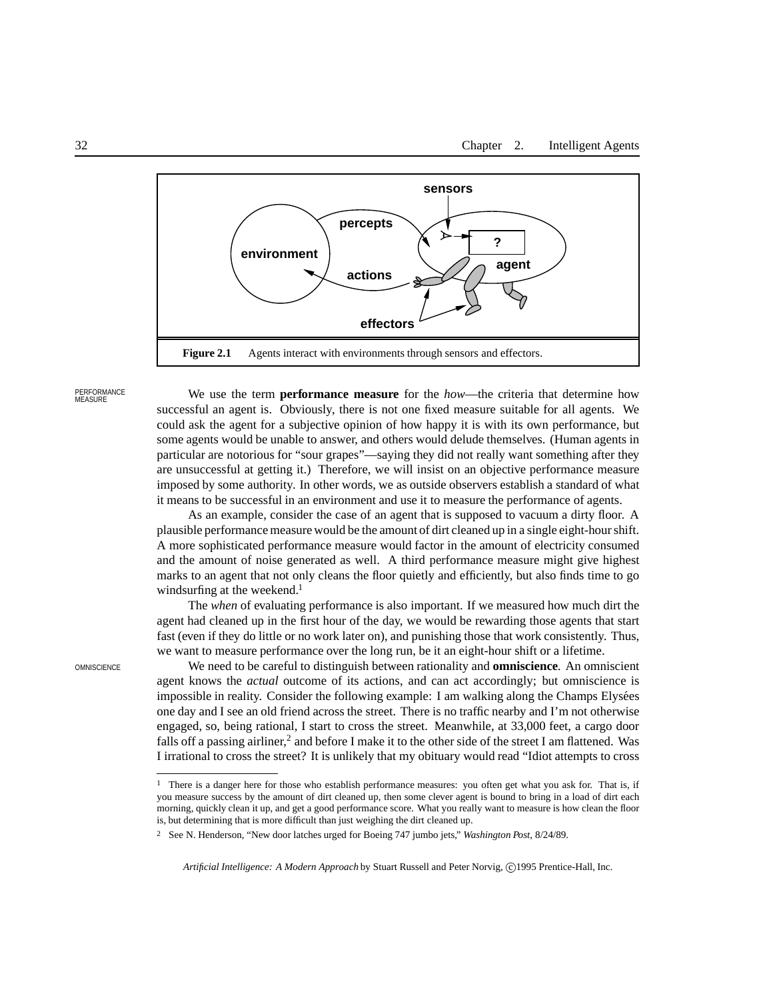

PERFORMANCE

We use the term **performance measure** for the *how*—the criteria that determine how successful an agent is. Obviously, there is not one fixed measure suitable for all agents. We could ask the agent for a subjective opinion of how happy it is with its own performance, but some agents would be unable to answer, and others would delude themselves. (Human agents in particular are notorious for "sour grapes"—saying they did not really want something after they are unsuccessful at getting it.) Therefore, we will insist on an objective performance measure imposed by some authority. In other words, we as outside observers establish a standard of what it means to be successful in an environment and use it to measure the performance of agents.

As an example, consider the case of an agent that is supposed to vacuum a dirty floor. A plausible performance measure would be the amount of dirt cleaned up in a single eight-hour shift. A more sophisticated performance measure would factor in the amount of electricity consumed and the amount of noise generated as well. A third performance measure might give highest marks to an agent that not only cleans the floor quietly and efficiently, but also finds time to go windsurfing at the weekend. $<sup>1</sup>$ </sup>

The *when* of evaluating performance is also important. If we measured how much dirt the agent had cleaned up in the first hour of the day, we would be rewarding those agents that start fast (even if they do little or no work later on), and punishing those that work consistently. Thus, we want to measure performance over the long run, be it an eight-hour shift or a lifetime.

OMNISCIENCE We need to be careful to distinguish between rationality and **omniscience**. An omniscient agent knows the *actual* outcome of its actions, and can act accordingly; but omniscience is impossible in reality. Consider the following example: I am walking along the Champs Elysées one day and I see an old friend across the street. There is no traffic nearby and I'm not otherwise engaged, so, being rational, I start to cross the street. Meanwhile, at 33,000 feet, a cargo door falls off a passing airliner,<sup>2</sup> and before I make it to the other side of the street I am flattened. Was I irrational to cross the street? It is unlikely that my obituary would read "Idiot attempts to cross

<sup>&</sup>lt;sup>1</sup> There is a danger here for those who establish performance measures: you often get what you ask for. That is, if you measure success by the amount of dirt cleaned up, then some clever agent is bound to bring in a load of dirt each morning, quickly clean it up, and get a good performance score. What you really want to measure is how clean the floor is, but determining that is more difficult than just weighing the dirt cleaned up.

<sup>2</sup> See N. Henderson, "New door latches urged for Boeing 747 jumbo jets," *Washington Post*, 8/24/89.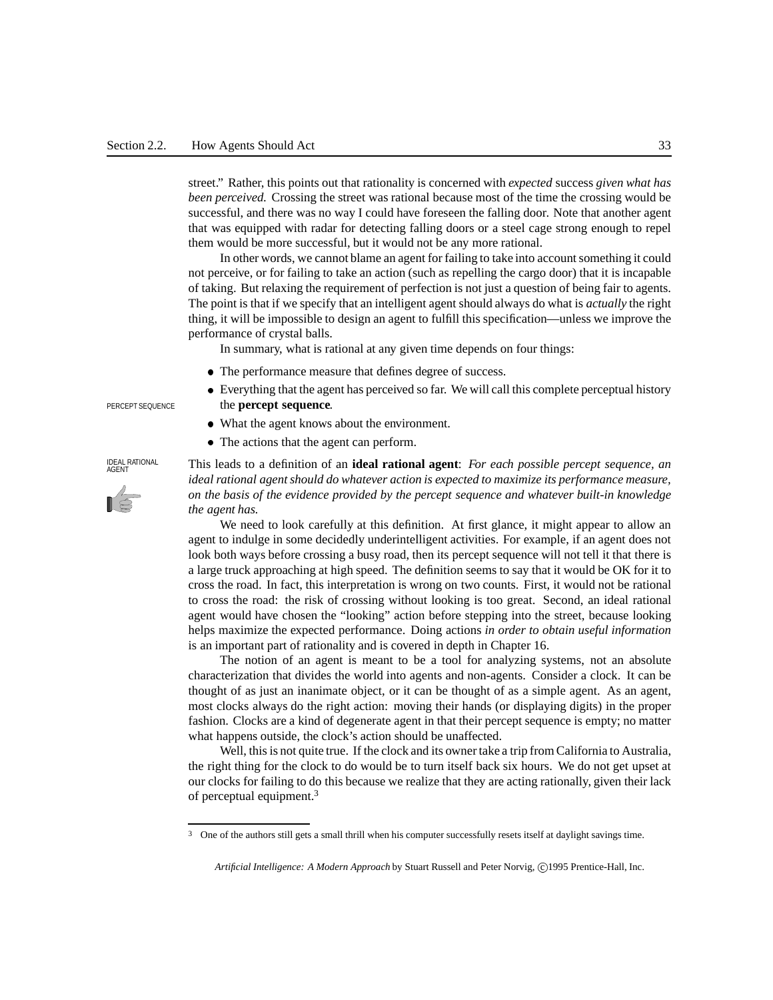street." Rather, this points out that rationality is concerned with *expected* success *given what has been perceived*. Crossing the street was rational because most of the time the crossing would be successful, and there was no way I could have foreseen the falling door. Note that another agent that was equipped with radar for detecting falling doors or a steel cage strong enough to repel them would be more successful, but it would not be any more rational.

In other words, we cannot blame an agent for failing to take into accountsomething it could not perceive, or for failing to take an action (such as repelling the cargo door) that it is incapable of taking. But relaxing the requirement of perfection is not just a question of being fair to agents. The point is that if we specify that an intelligent agent should always do what is *actually* the right thing, it will be impossible to design an agent to fulfill this specification—unless we improve the performance of crystal balls.

In summary, what is rational at any given time depends on four things:

- The performance measure that defines degree of success.
- Everything that the agent has perceived so far. We will call this complete perceptual history PERCEPT SEQUENCE the **percept sequence**.
	- What the agent knows about the environment.
	- The actions that the agent can perform.

**IDEAL RATIONAL**<br>AGENT



This leads to a definition of an **ideal rational agent**: *For each possible percept sequence, an ideal rational agentshould do whatever action is expected to maximize its performance measure, on the basis of the evidence provided by the percept sequence and whatever built-in knowledge the agent has.*

We need to look carefully at this definition. At first glance, it might appear to allow an agent to indulge in some decidedly underintelligent activities. For example, if an agent does not look both ways before crossing a busy road, then its percept sequence will not tell it that there is a large truck approaching at high speed. The definition seems to say that it would be OK for it to cross the road. In fact, this interpretation is wrong on two counts. First, it would not be rational to cross the road: the risk of crossing without looking is too great. Second, an ideal rational agent would have chosen the "looking" action before stepping into the street, because looking helps maximize the expected performance. Doing actions *in order to obtain useful information* is an important part of rationality and is covered in depth in Chapter 16.

The notion of an agent is meant to be a tool for analyzing systems, not an absolute characterization that divides the world into agents and non-agents. Consider a clock. It can be thought of as just an inanimate object, or it can be thought of as a simple agent. As an agent, most clocks always do the right action: moving their hands (or displaying digits) in the proper fashion. Clocks are a kind of degenerate agent in that their percept sequence is empty; no matter what happens outside, the clock's action should be unaffected.

Well, this is not quite true. If the clock and its owner take a trip from California to Australia, the right thing for the clock to do would be to turn itself back six hours. We do not get upset at our clocks for failing to do this because we realize that they are acting rationally, given their lack of perceptual equipment.<sup>3</sup>

<sup>3</sup> One of the authors still gets a small thrill when his computer successfully resets itself at daylight savings time.

*Artificial Intelligence: A Modern Approach* by Stuart Russell and Peter Norvig, ©1995 Prentice-Hall, Inc.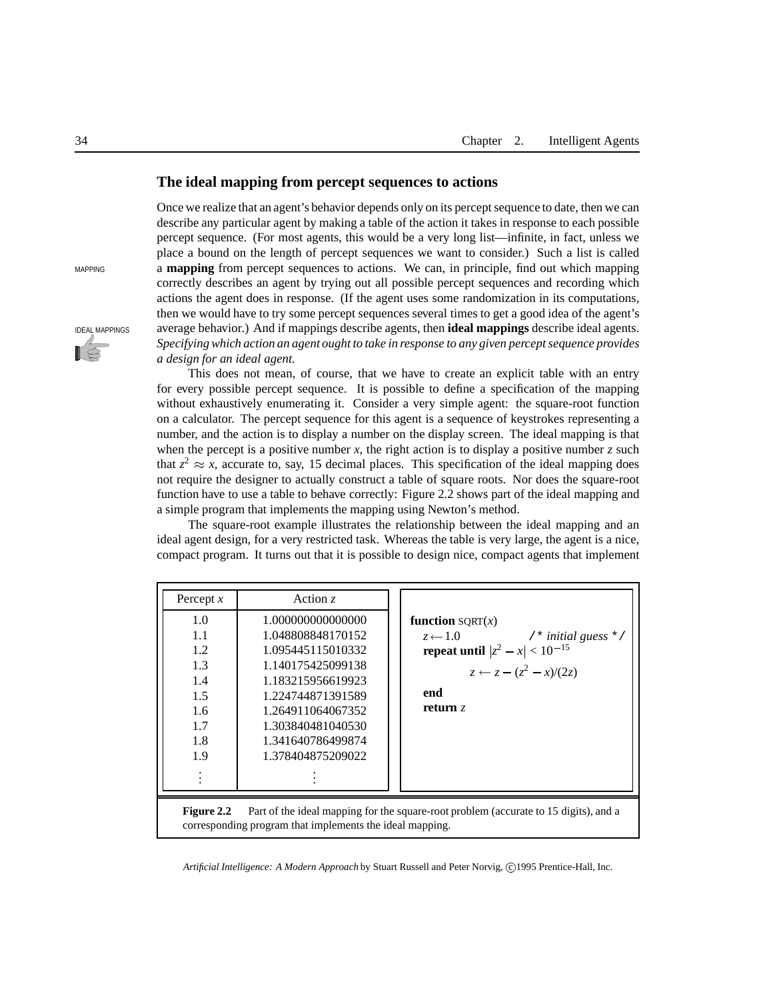#### **The ideal mapping from percept sequences to actions**

Once we realize that an agent's behavior depends only on its percept sequence to date, then we can describe any particular agent by making a table of the action it takes in response to each possible percept sequence. (For most agents, this would be a very long list—infinite, in fact, unless we place a bound on the length of percept sequences we want to consider.) Such a list is called MAPPING a **mapping** from percept sequences to actions. We can, in principle, find out which mapping correctly describes an agent by trying out all possible percept sequences and recording which actions the agent does in response. (If the agent uses some randomization in its computations, then we would have to try some percept sequences several times to get a good idea of the agent's IDEAL MAPPINGS average behavior.) And if mappings describe agents, then **ideal mappings** describe ideal agents. *Specifyingwhich action an agent oughtto take in response to any given perceptsequence provides a design for an ideal agent.*

> This does not mean, of course, that we have to create an explicit table with an entry for every possible percept sequence. It is possible to define a specification of the mapping without exhaustively enumerating it. Consider a very simple agent: the square-root function on a calculator. The percept sequence for this agent is a sequence of keystrokes representing a number, and the action is to display a number on the display screen. The ideal mapping is that when the percept is a positive number  $x$ , the right action is to display a positive number  $z$  such that  $z^2 \approx x$ , accurate to, say, 15 decimal places. This specification of the ideal mapping does not require the designer to actually construct a table of square roots. Nor does the square-root function have to use a table to behave correctly: Figure 2.2 shows part of the ideal mapping and a simple program that implements the mapping using Newton's method.

> The square-root example illustrates the relationship between the ideal mapping and an ideal agent design, for a very restricted task. Whereas the table is very large, the agent is a nice, compact program. It turns out that it is possible to design nice, compact agents that implement

| Percept $x$ | Action $z$                                               |                                                                                      |
|-------------|----------------------------------------------------------|--------------------------------------------------------------------------------------|
| 1.0         | 1.000000000000000                                        | function $SORT(x)$                                                                   |
| 1.1         | 1.048808848170152                                        | $z \leftarrow 1.0$ /* initial guess */                                               |
| 1.2         | 1.095445115010332                                        | <b>repeat until</b> $ z^2 - x  < 10^{-15}$                                           |
| 1.3         | 1.140175425099138                                        | $z \leftarrow z - (z^2 - x)/(2z)$                                                    |
| 1.4         | 1.183215956619923                                        |                                                                                      |
| 1.5         | 1.224744871391589                                        | end                                                                                  |
| 1.6         | 1.264911064067352                                        | return $z$                                                                           |
| 1.7         | 1.303840481040530                                        |                                                                                      |
| 1.8         | 1.341640786499874                                        |                                                                                      |
| 1.9         | 1.378404875209022                                        |                                                                                      |
|             |                                                          |                                                                                      |
|             |                                                          |                                                                                      |
| Figure 2.2  | corresponding program that implements the ideal mapping. | Part of the ideal mapping for the square-root problem (accurate to 15 digits), and a |

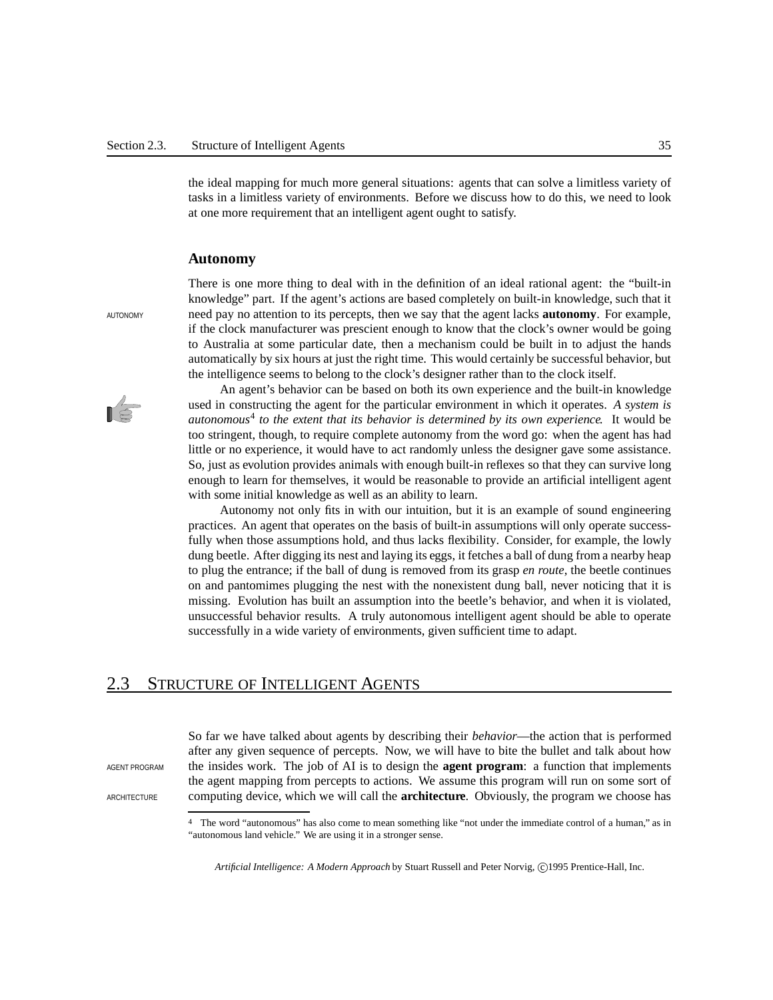the ideal mapping for much more general situations: agents that can solve a limitless variety of tasks in a limitless variety of environments. Before we discuss how to do this, we need to look at one more requirement that an intelligent agent ought to satisfy.

#### **Autonomy**



knowledge" part. If the agent's actions are based completely on built-in knowledge, such that it AUTONOMY need pay no attention to its percepts, then we say that the agent lacks **autonomy**. For example, if the clock manufacturer was prescient enough to know that the clock's owner would be going to Australia at some particular date, then a mechanism could be built in to adjust the hands automatically by six hours at just the right time. This would certainly be successful behavior, but the intelligence seems to belong to the clock's designer rather than to the clock itself.

There is one more thing to deal with in the definition of an ideal rational agent: the "built-in

An agent's behavior can be based on both its own experience and the built-in knowledge used in constructing the agent for the particular environment in which it operates. *A system is autonomous*<sup>4</sup> *to the extent that its behavior is determined by its own experience.* It would be too stringent, though, to require complete autonomy from the word go: when the agent has had little or no experience, it would have to act randomly unless the designer gave some assistance. So, just as evolution provides animals with enough built-in reflexes so that they can survive long enough to learn for themselves, it would be reasonable to provide an artificial intelligent agent with some initial knowledge as well as an ability to learn.

Autonomy not only fits in with our intuition, but it is an example of sound engineering practices. An agent that operates on the basis of built-in assumptions will only operate successfully when those assumptions hold, and thus lacks flexibility. Consider, for example, the lowly dung beetle. After digging its nest and laying its eggs, it fetches a ball of dung from a nearby heap to plug the entrance; if the ball of dung is removed from its grasp *en route*, the beetle continues on and pantomimes plugging the nest with the nonexistent dung ball, never noticing that it is missing. Evolution has built an assumption into the beetle's behavior, and when it is violated, unsuccessful behavior results. A truly autonomous intelligent agent should be able to operate successfully in a wide variety of environments, given sufficient time to adapt.

#### 2.3 STRUCTURE OF INTELLIGENT AGENTS

So far we have talked about agents by describing their *behavior*—the action that is performed after any given sequence of percepts. Now, we will have to bite the bullet and talk about how AGENT PROGRAM the insides work. The job of AI is to design the **agent program**: a function that implements the agent mapping from percepts to actions. We assume this program will run on some sort of ARCHITECTURE computing device, which we will call the **architecture**. Obviously, the program we choose has

<sup>4</sup> The word "autonomous" has also come to mean something like "not under the immediate control of a human," as in "autonomous land vehicle." We are using it in a stronger sense.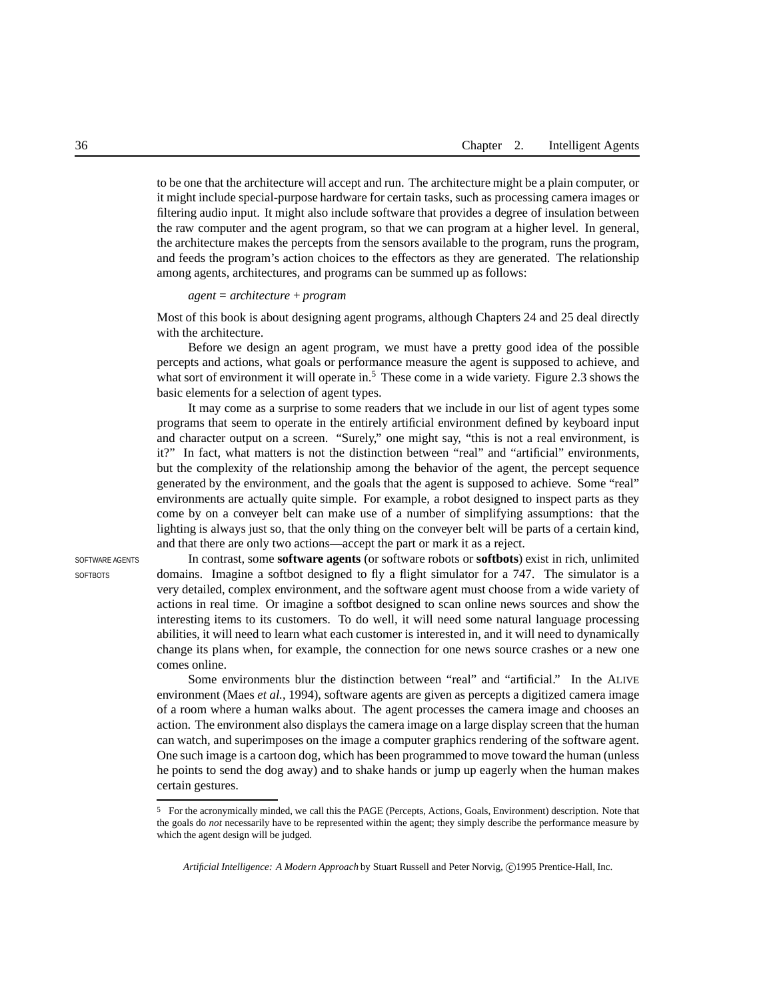to be one that the architecture will accept and run. The architecture might be a plain computer, or it might include special-purpose hardware for certain tasks, such as processing camera images or filtering audio input. It might also include software that provides a degree of insulation between the raw computer and the agent program, so that we can program at a higher level. In general, the architecture makes the percepts from the sensors available to the program, runs the program, and feeds the program's action choices to the effectors as they are generated. The relationship among agents, architectures, and programs can be summed up as follows:

#### *agent* = *architecture* + *program*

Most of this book is about designing agent programs, although Chapters 24 and 25 deal directly with the architecture.

Before we design an agent program, we must have a pretty good idea of the possible percepts and actions, what goals or performance measure the agent is supposed to achieve, and what sort of environment it will operate in.<sup>5</sup> These come in a wide variety. Figure 2.3 shows the basic elements for a selection of agent types.

It may come as a surprise to some readers that we include in our list of agent types some programs that seem to operate in the entirely artificial environment defined by keyboard input and character output on a screen. "Surely," one might say, "this is not a real environment, is it?" In fact, what matters is not the distinction between "real" and "artificial" environments, but the complexity of the relationship among the behavior of the agent, the percept sequence generated by the environment, and the goals that the agent is supposed to achieve. Some "real" environments are actually quite simple. For example, a robot designed to inspect parts as they come by on a conveyer belt can make use of a number of simplifying assumptions: that the lighting is always just so, that the only thing on the conveyer belt will be parts of a certain kind, and that there are only two actions—accept the part or mark it as a reject.

SOFTWARE AGENTS In contrast, some **software agents** (or software robots or **softbots**) exist in rich, unlimited SOFTBOTS domains. Imagine a softbot designed to fly a flight simulator for a 747. The simulator is a very detailed, complex environment, and the software agent must choose from a wide variety of actions in real time. Or imagine a softbot designed to scan online news sources and show the interesting items to its customers. To do well, it will need some natural language processing abilities, it will need to learn what each customer is interested in, and it will need to dynamically change its plans when, for example, the connection for one news source crashes or a new one comes online.

> Some environments blur the distinction between "real" and "artificial." In the ALIVE environment (Maes *et al.*, 1994), software agents are given as percepts a digitized camera image of a room where a human walks about. The agent processes the camera image and chooses an action. The environment also displays the camera image on a large display screen that the human can watch, and superimposes on the image a computer graphics rendering of the software agent. One such image is a cartoon dog, which has been programmed to move toward the human (unless he points to send the dog away) and to shake hands or jump up eagerly when the human makes certain gestures.

<sup>5</sup> For the acronymically minded, we call this the PAGE (Percepts, Actions, Goals, Environment) description. Note that the goals do *not* necessarily have to be represented within the agent; they simply describe the performance measure by which the agent design will be judged.

*Artificial Intelligence: A Modern Approach* by Stuart Russell and Peter Norvig, ©1995 Prentice-Hall, Inc.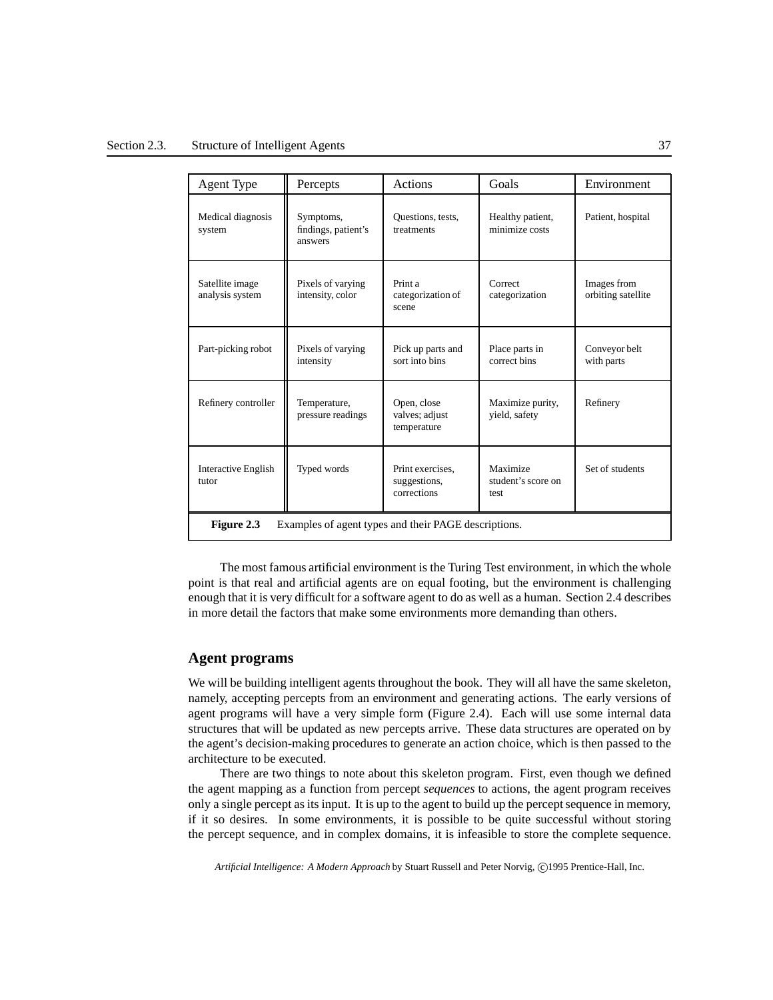| Agent Type                          | Percepts                                             | Actions                                         | Goals                                  | Environment                       |
|-------------------------------------|------------------------------------------------------|-------------------------------------------------|----------------------------------------|-----------------------------------|
| Medical diagnosis<br>system         | Symptoms,<br>findings, patient's<br>answers          | Questions, tests,<br>treatments                 | Healthy patient,<br>minimize costs     | Patient, hospital                 |
| Satellite image<br>analysis system  | Pixels of varying<br>intensity, color                | Print a<br>categorization of<br>scene           | Correct<br>categorization              | Images from<br>orbiting satellite |
| Part-picking robot                  | Pixels of varying<br>intensity                       | Pick up parts and<br>sort into bins             | Place parts in<br>correct bins         | Conveyor belt<br>with parts       |
| Refinery controller                 | Temperature,<br>pressure readings                    | Open, close<br>valves; adjust<br>temperature    | Maximize purity,<br>yield, safety      | Refinery                          |
| <b>Interactive English</b><br>tutor | Typed words                                          | Print exercises.<br>suggestions,<br>corrections | Maximize<br>student's score on<br>test | Set of students                   |
| Figure 2.3                          | Examples of agent types and their PAGE descriptions. |                                                 |                                        |                                   |

The most famous artificial environment is the Turing Test environment, in which the whole point is that real and artificial agents are on equal footing, but the environment is challenging enough that it is very difficult for a software agent to do as well as a human. Section 2.4 describes in more detail the factors that make some environments more demanding than others.

#### **Agent programs**

We will be building intelligent agents throughout the book. They will all have the same skeleton, namely, accepting percepts from an environment and generating actions. The early versions of agent programs will have a very simple form (Figure 2.4). Each will use some internal data structures that will be updated as new percepts arrive. These data structures are operated on by the agent's decision-making procedures to generate an action choice, which is then passed to the architecture to be executed.

There are two things to note about this skeleton program. First, even though we defined the agent mapping as a function from percept *sequences* to actions, the agent program receives only a single percept as its input. Itis up to the agent to build up the perceptsequence in memory, if it so desires. In some environments, it is possible to be quite successful without storing the percept sequence, and in complex domains, it is infeasible to store the complete sequence.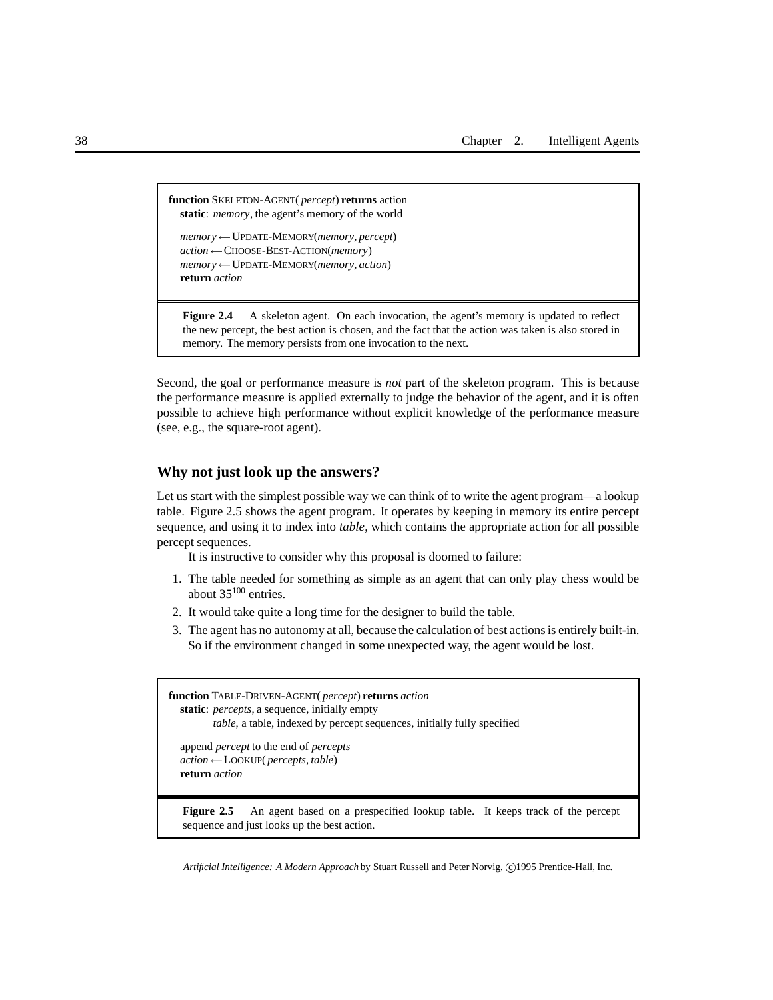**function** SKELETON-AGENT( *percept*) **returns** action **static**: *memory*, the agent's memory of the world  $memory \leftarrow \text{UPDATE-MEMORY}(memory, percept)$  $action ←$ CHOOSE-BEST-ACTION(*memory*)  $memory$  ← UPDATE-MEMORY(*memory*, *action*) **return** *action*

**Figure 2.4** A skeleton agent. On each invocation, the agent's memory is updated to reflect the new percept, the best action is chosen, and the fact that the action was taken is also stored in memory. The memory persists from one invocation to the next.

Second, the goal or performance measure is *not* part of the skeleton program. This is because the performance measure is applied externally to judge the behavior of the agent, and it is often possible to achieve high performance without explicit knowledge of the performance measure (see, e.g., the square-root agent).

#### **Why not just look up the answers?**

sequence and just looks up the best action.

Let us start with the simplest possible way we can think of to write the agent program—a lookup table. Figure 2.5 shows the agent program. It operates by keeping in memory its entire percept sequence, and using it to index into *table*, which contains the appropriate action for all possible percept sequences.

It is instructive to consider why this proposal is doomed to failure:

- 1. The table needed for something as simple as an agent that can only play chess would be about 35<sup>100</sup> entries.
- 2. It would take quite a long time for the designer to build the table.
- 3. The agent has no autonomy at all, because the calculation of best actionsis entirely built-in. So if the environment changed in some unexpected way, the agent would be lost.

```
function TABLE-DRIVEN-AGENT( percept) returns action
static: percepts, a sequence, initially empty
       table, a table, indexed by percept sequences, initially fully specified
append percept to the end of percepts
action LOOKUP( percepts, table)
return action
 Figure 2.5 An agent based on a prespecified lookup table. It keeps track of the percept
```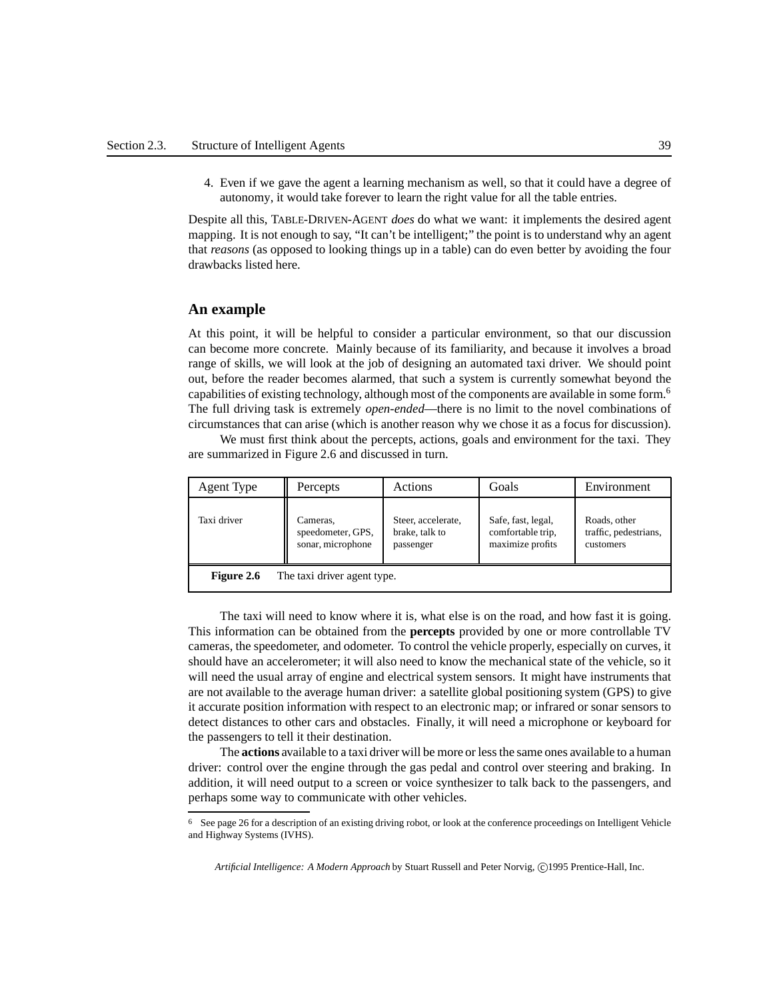4. Even if we gave the agent a learning mechanism as well, so that it could have a degree of autonomy, it would take forever to learn the right value for all the table entries.

Despite all this, TABLE-DRIVEN-AGENT *does* do what we want: it implements the desired agent mapping. Itis not enough to say, "It can't be intelligent;" the point is to understand why an agent that *reasons* (as opposed to looking things up in a table) can do even better by avoiding the four drawbacks listed here.

#### **An example**

At this point, it will be helpful to consider a particular environment, so that our discussion can become more concrete. Mainly because of its familiarity, and because it involves a broad range of skills, we will look at the job of designing an automated taxi driver. We should point out, before the reader becomes alarmed, that such a system is currently somewhat beyond the capabilities of existing technology, although most of the components are available in some form.<sup>6</sup> The full driving task is extremely *open-ended*—there is no limit to the novel combinations of circumstances that can arise (which is another reason why we chose it as a focus for discussion).

We must first think about the percepts, actions, goals and environment for the taxi. They are summarized in Figure 2.6 and discussed in turn.

| Agent Type        | Percepts                                           | Actions                                           | Goals                                                       | Environment                                        |
|-------------------|----------------------------------------------------|---------------------------------------------------|-------------------------------------------------------------|----------------------------------------------------|
| Taxi driver       | Cameras,<br>speedometer, GPS,<br>sonar, microphone | Steer, accelerate,<br>brake, talk to<br>passenger | Safe, fast, legal,<br>comfortable trip.<br>maximize profits | Roads, other<br>traffic, pedestrians,<br>customers |
| <b>Figure 2.6</b> | The taxi driver agent type.                        |                                                   |                                                             |                                                    |

The taxi will need to know where it is, what else is on the road, and how fast it is going. This information can be obtained from the **percepts** provided by one or more controllable TV cameras, the speedometer, and odometer. To control the vehicle properly, especially on curves, it should have an accelerometer; it will also need to know the mechanical state of the vehicle, so it will need the usual array of engine and electrical system sensors. It might have instruments that are not available to the average human driver: a satellite global positioning system (GPS) to give it accurate position information with respect to an electronic map; or infrared or sonar sensors to detect distances to other cars and obstacles. Finally, it will need a microphone or keyboard for the passengers to tell it their destination.

The **actions** available to a taxi driver will be more or lessthe same ones available to a human driver: control over the engine through the gas pedal and control over steering and braking. In addition, it will need output to a screen or voice synthesizer to talk back to the passengers, and perhaps some way to communicate with other vehicles.

<sup>6</sup> See page 26 for a description of an existing driving robot, or look at the conference proceedings on Intelligent Vehicle and Highway Systems (IVHS).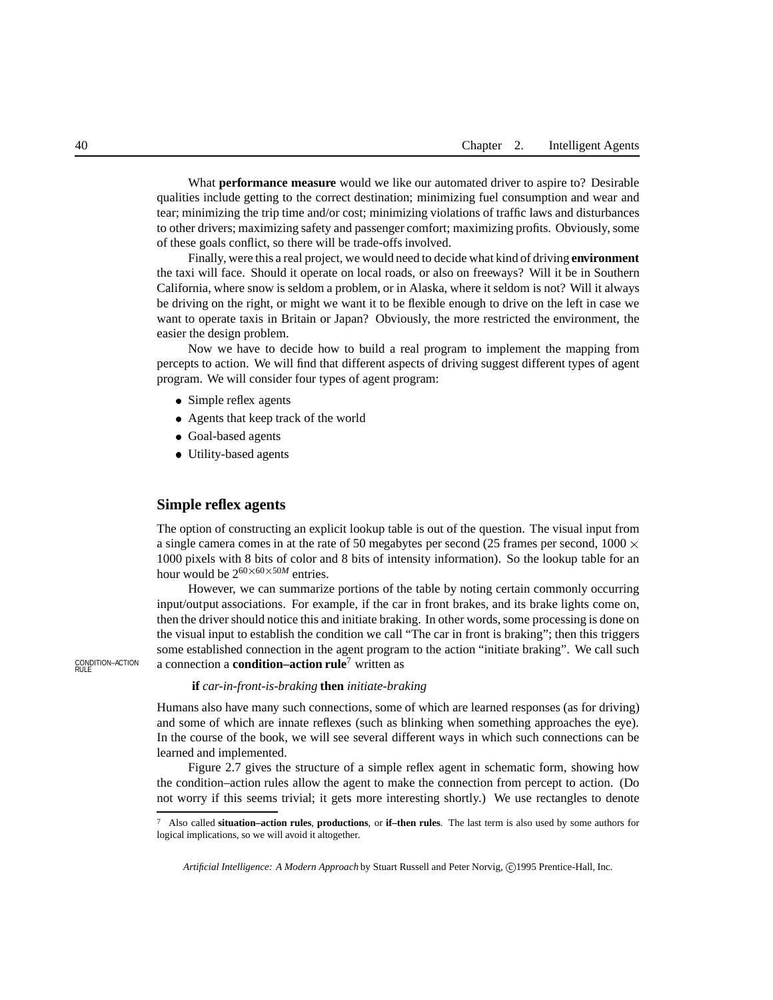What **performance measure** would we like our automated driver to aspire to? Desirable qualities include getting to the correct destination; minimizing fuel consumption and wear and tear; minimizing the trip time and/or cost; minimizing violations of traffic laws and disturbances to other drivers; maximizing safety and passenger comfort; maximizing profits. Obviously,some of these goals conflict, so there will be trade-offs involved.

Finally, were this a real project, we would need to decide what kind of driving **environment** the taxi will face. Should it operate on local roads, or also on freeways? Will it be in Southern California, where snow is seldom a problem, or in Alaska, where it seldom is not? Will it always be driving on the right, or might we want it to be flexible enough to drive on the left in case we want to operate taxis in Britain or Japan? Obviously, the more restricted the environment, the easier the design problem.

Now we have to decide how to build a real program to implement the mapping from percepts to action. We will find that different aspects of driving suggest different types of agent program. We will consider four types of agent program:

- Simple reflex agents
- Agents that keep track of the world
- Goal-based agents
- Utility-based agents

#### **Simple reflex agents**

The option of constructing an explicit lookup table is out of the question. The visual input from a single camera comes in at the rate of 50 megabytes per second (25 frames per second, 1000  $\times$ 1000 pixels with 8 bits of color and 8 bits of intensity information). So the lookup table for an hour would be  $2^{60 \times 60 \times 50M}$  entries.

However, we can summarize portions of the table by noting certain commonly occurring input/output associations. For example, if the car in front brakes, and its brake lights come on, then the driver should notice this and initiate braking. In other words, some processing is done on the visual input to establish the condition we call "The car in front is braking"; then this triggers some established connection in the agent program to the action "initiate braking". We call such a connection a **condition–action rule**<sup>7</sup> written as

CONDITION-ACTION<br>RULE

**if** *car-in-front-is-braking* **then** *initiate-braking*

Humans also have many such connections, some of which are learned responses (as for driving) and some of which are innate reflexes (such as blinking when something approaches the eye). In the course of the book, we will see several different ways in which such connections can be learned and implemented.

Figure 2.7 gives the structure of a simple reflex agent in schematic form, showing how the condition–action rules allow the agent to make the connection from percept to action. (Do not worry if this seems trivial; it gets more interesting shortly.) We use rectangles to denote

<sup>7</sup> Also called **situation–action rules**, **productions**, or **if–then rules**. The last term is also used by some authors for logical implications, so we will avoid it altogether.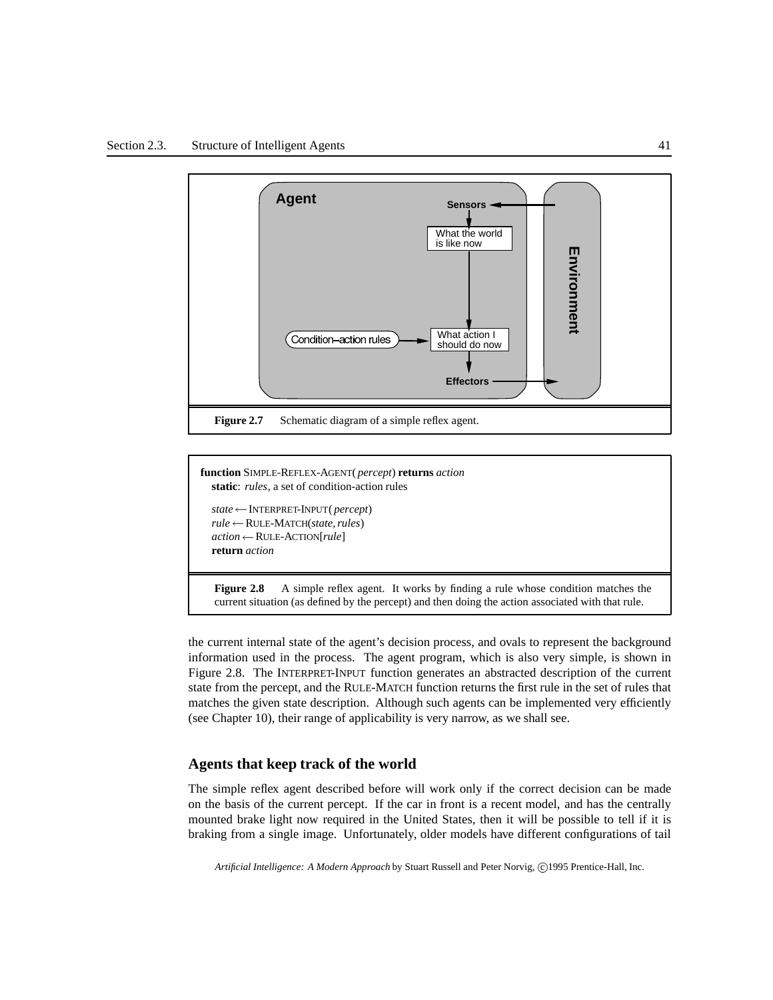



 $rule \leftarrow$  RULE-MATCH(*state, rules*)  $action ← RULE-ACTION[rule]$ **return** *action*

**Figure 2.8** A simple reflex agent. It works by finding a rule whose condition matches the current situation (as defined by the percept) and then doing the action associated with that rule.

the current internal state of the agent's decision process, and ovals to represent the background information used in the process. The agent program, which is also very simple, is shown in Figure 2.8. The INTERPRET-INPUT function generates an abstracted description of the current state from the percept, and the RULE-MATCH function returns the first rule in the set of rules that matches the given state description. Although such agents can be implemented very efficiently (see Chapter 10), their range of applicability is very narrow, as we shall see.

#### **Agents that keep track of the world**

The simple reflex agent described before will work only if the correct decision can be made on the basis of the current percept. If the car in front is a recent model, and has the centrally mounted brake light now required in the United States, then it will be possible to tell if it is braking from a single image. Unfortunately, older models have different configurations of tail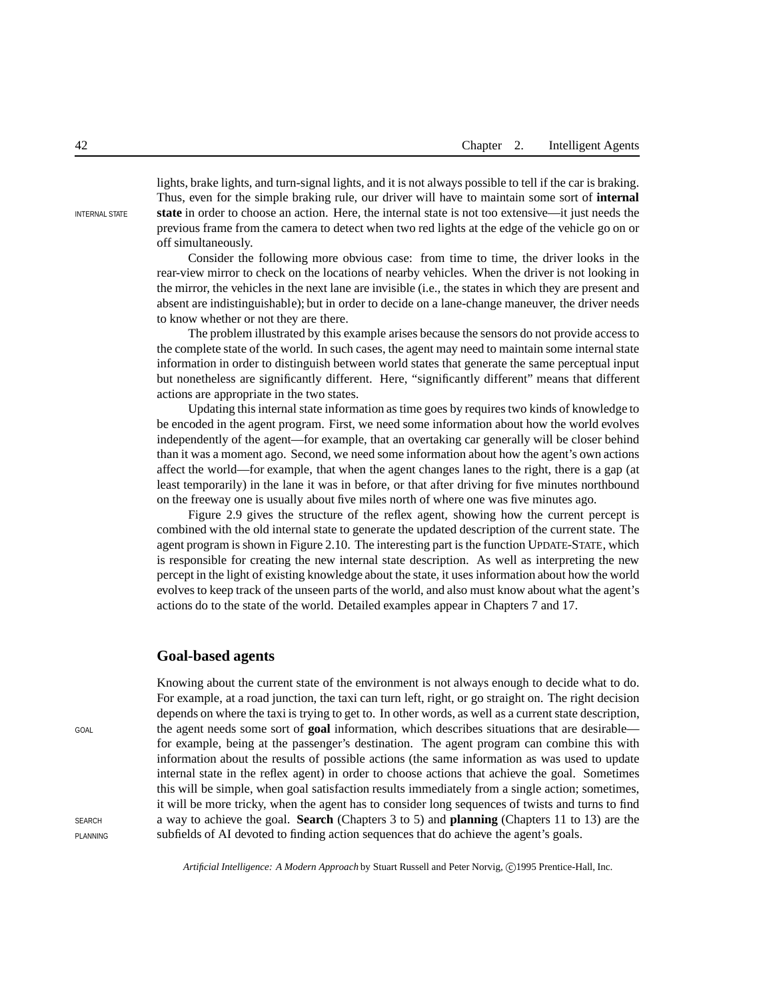lights, brake lights, and turn-signallights, and it is not always possible to tell if the car is braking. Thus, even for the simple braking rule, our driver will have to maintain some sort of **internal** INTERNAL STATE **state** in order to choose an action. Here, the internal state is not too extensive—it just needs the previous frame from the camera to detect when two red lights at the edge of the vehicle go on or off simultaneously.

> Consider the following more obvious case: from time to time, the driver looks in the rear-view mirror to check on the locations of nearby vehicles. When the driver is not looking in the mirror,the vehicles in the next lane are invisible (i.e., the states in which they are present and absent are indistinguishable); but in order to decide on a lane-change maneuver, the driver needs to know whether or not they are there.

> The problem illustrated by this example arises because the sensors do not provide accessto the complete state of the world. In such cases, the agent may need to maintain some internal state information in order to distinguish between world states that generate the same perceptual input but nonetheless are significantly different. Here, "significantly different" means that different actions are appropriate in the two states.

> Updating this internal state information as time goes by requires two kinds of knowledge to be encoded in the agent program. First, we need some information about how the world evolves independently of the agent—for example, that an overtaking car generally will be closer behind than it was a moment ago. Second, we need some information about how the agent's own actions affect the world—for example, that when the agent changes lanes to the right, there is a gap (at least temporarily) in the lane it was in before, or that after driving for five minutes northbound on the freeway one is usually about five miles north of where one was five minutes ago.

> Figure 2.9 gives the structure of the reflex agent, showing how the current percept is combined with the old internal state to generate the updated description of the current state. The agent program is shown in Figure 2.10. The interesting part is the function UPDATE-STATE, which is responsible for creating the new internal state description. As well as interpreting the new percept in the light of existing knowledge about the state, it uses information about how the world evolves to keep track of the unseen parts of the world, and also must know about what the agent's actions do to the state of the world. Detailed examples appear in Chapters 7 and 17.

#### **Goal-based agents**

Knowing about the current state of the environment is not always enough to decide what to do. For example, at a road junction, the taxi can turn left, right, or go straight on. The right decision depends on where the taxi is trying to get to. In other words, as well as a current state description, GOAL the agent needs some sort of **goal** information, which describes situations that are desirable for example, being at the passenger's destination. The agent program can combine this with information about the results of possible actions (the same information as was used to update internal state in the reflex agent) in order to choose actions that achieve the goal. Sometimes this will be simple, when goal satisfaction results immediately from a single action; sometimes, it will be more tricky, when the agent has to consider long sequences of twists and turns to find SEARCH a way to achieve the goal. **Search** (Chapters 3 to 5) and **planning** (Chapters 11 to 13) are the PLANNING subfields of AI devoted to finding action sequences that do achieve the agent's goals.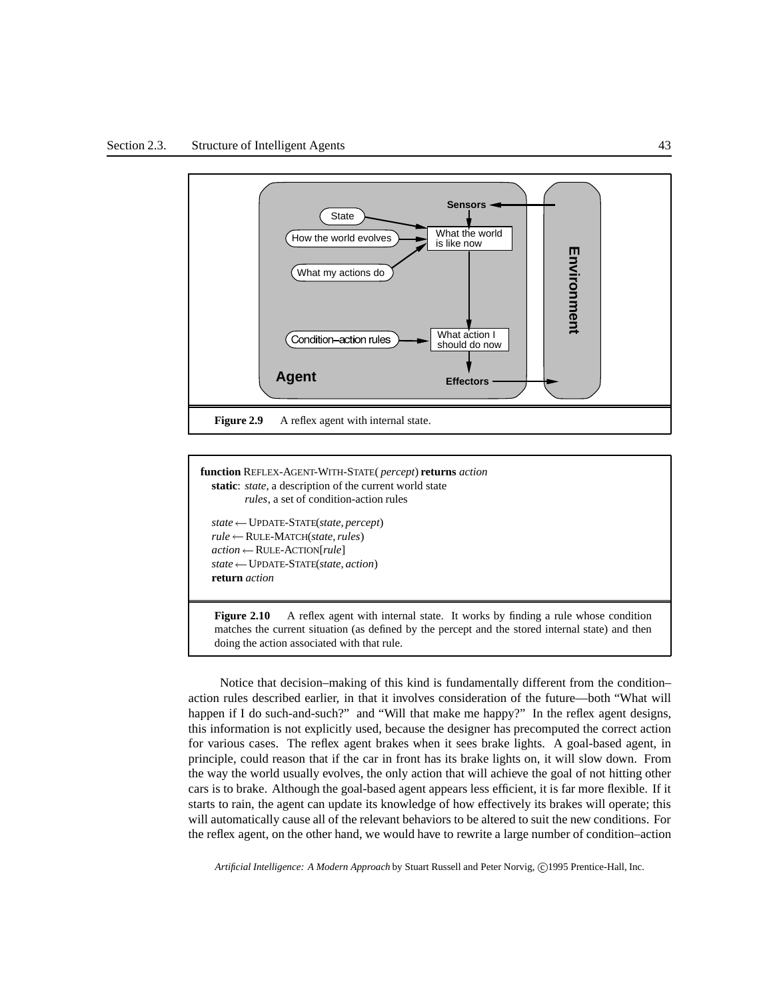

**function** REFLEX-AGENT-WITH-STATE( *percept*) **returns** *action* **static**: *state*, a description of the current world state *rules*, a set of condition-action rules *state* UPDATE-STATE(*state, percept*)  $rule ← RULE-MATCH(state, rules)$  $action \leftarrow RULE-ACTION[rule]$ *state* UPDATE-STATE(*state, action*) **return** *action*

**Figure 2.10** A reflex agent with internal state. It works by finding a rule whose condition matches the current situation (as defined by the percept and the stored internal state) and then doing the action associated with that rule.

Notice that decision–making of this kind is fundamentally different from the condition– action rules described earlier, in that it involves consideration of the future—both "What will happen if I do such-and-such?" and "Will that make me happy?" In the reflex agent designs, this information is not explicitly used, because the designer has precomputed the correct action for various cases. The reflex agent brakes when it sees brake lights. A goal-based agent, in principle, could reason that if the car in front has its brake lights on, it will slow down. From the way the world usually evolves, the only action that will achieve the goal of not hitting other cars is to brake. Although the goal-based agent appears less efficient, it is far more flexible. If it starts to rain, the agent can update its knowledge of how effectively its brakes will operate; this will automatically cause all of the relevant behaviors to be altered to suit the new conditions. For the reflex agent, on the other hand, we would have to rewrite a large number of condition–action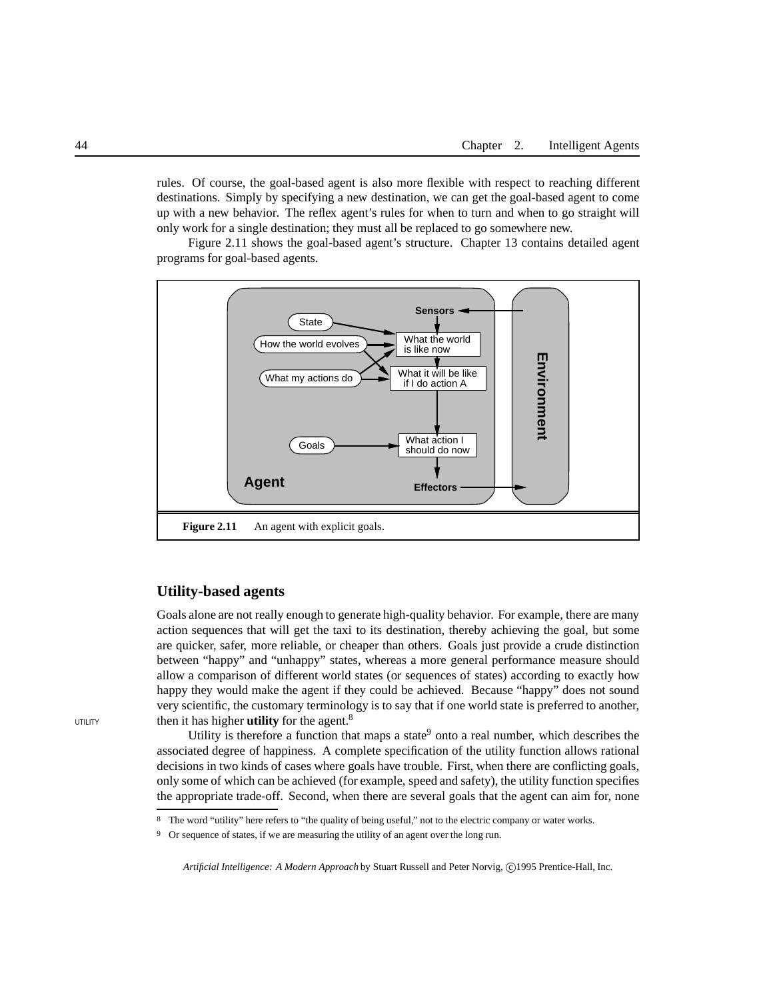rules. Of course, the goal-based agent is also more flexible with respect to reaching different destinations. Simply by specifying a new destination, we can get the goal-based agent to come up with a new behavior. The reflex agent's rules for when to turn and when to go straight will only work for a single destination; they must all be replaced to go somewhere new.

Figure 2.11 shows the goal-based agent's structure. Chapter 13 contains detailed agent programs for goal-based agents.



#### **Utility-based agents**

Goals alone are not really enough to generate high-quality behavior. For example, there are many action sequences that will get the taxi to its destination, thereby achieving the goal, but some are quicker, safer, more reliable, or cheaper than others. Goals just provide a crude distinction between "happy" and "unhappy" states, whereas a more general performance measure should allow a comparison of different world states (or sequences of states) according to exactly how happy they would make the agent if they could be achieved. Because "happy" does not sound very scientific, the customary terminology is to say that if one world state is preferred to another, then it has higher **utility** for the agent.<sup>8</sup>

Utility is therefore a function that maps a state<sup>9</sup> onto a real number, which describes the associated degree of happiness. A complete specification of the utility function allows rational decisions in two kinds of cases where goals have trouble. First, when there are conflicting goals, only some of which can be achieved (for example, speed and safety), the utility function specifies the appropriate trade-off. Second, when there are several goals that the agent can aim for, none

<sup>8</sup> The word "utility" here refers to "the quality of being useful," not to the electric company or water works.

<sup>&</sup>lt;sup>9</sup> Or sequence of states, if we are measuring the utility of an agent over the long run.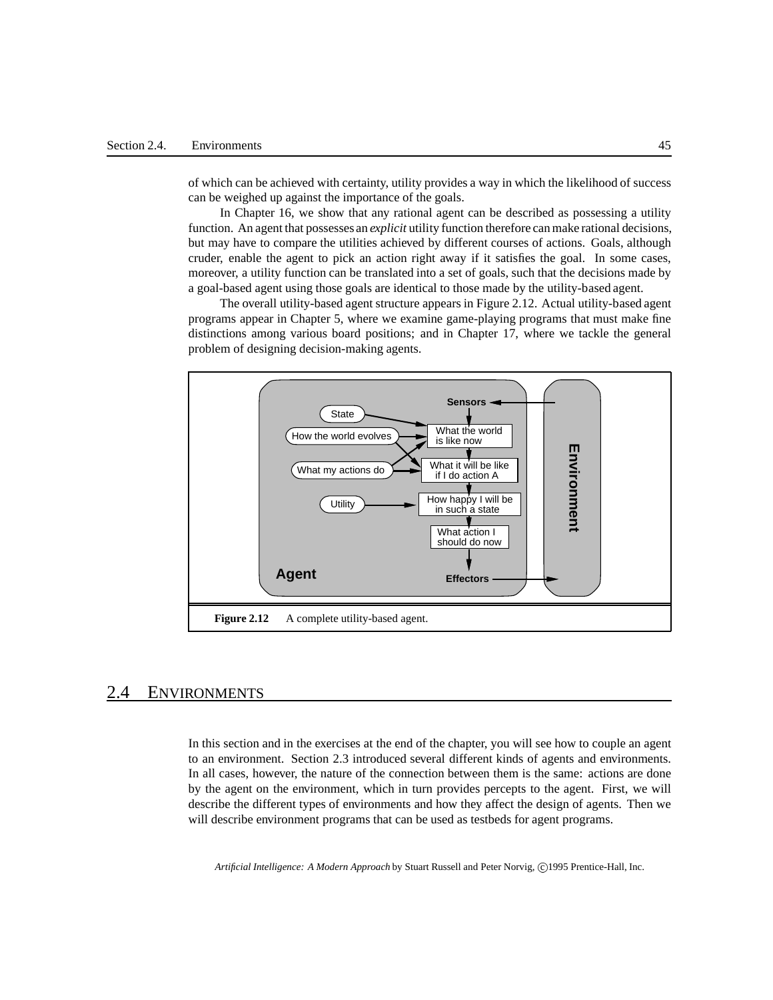of which can be achieved with certainty, utility provides a way in which the likelihood of success can be weighed up against the importance of the goals.

In Chapter 16, we show that any rational agent can be described as possessing a utility function. An agent that possesses an *explicit* utility function therefore can make rational decisions, but may have to compare the utilities achieved by different courses of actions. Goals, although cruder, enable the agent to pick an action right away if it satisfies the goal. In some cases, moreover, a utility function can be translated into a set of goals, such that the decisions made by a goal-based agent using those goals are identical to those made by the utility-based agent.

The overall utility-based agent structure appears in Figure 2.12. Actual utility-based agent programs appear in Chapter 5, where we examine game-playing programs that must make fine distinctions among various board positions; and in Chapter 17, where we tackle the general problem of designing decision-making agents.



#### 2.4 ENVIRONMENTS

In this section and in the exercises at the end of the chapter, you will see how to couple an agent to an environment. Section 2.3 introduced several different kinds of agents and environments. In all cases, however, the nature of the connection between them is the same: actions are done by the agent on the environment, which in turn provides percepts to the agent. First, we will describe the different types of environments and how they affect the design of agents. Then we will describe environment programs that can be used as testbeds for agent programs.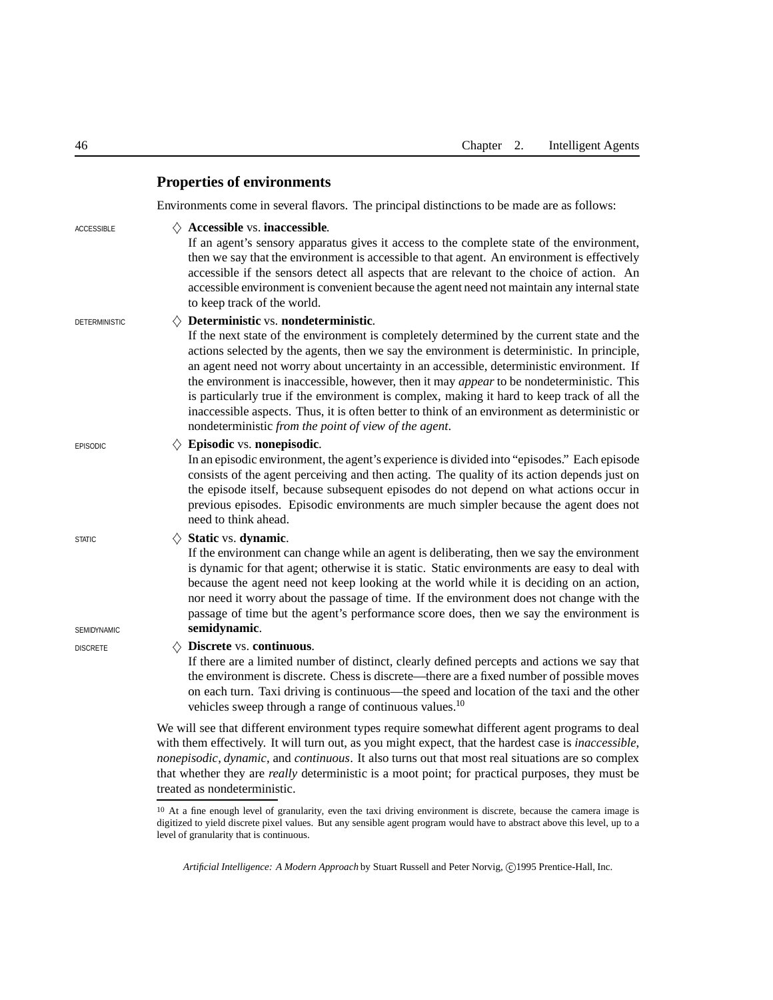### **Properties of environments**

Environments come in several flavors. The principal distinctions to be made are as follows:

| <b>ACCESSIBLE</b>                   | $\diamondsuit$ Accessible vs. inaccessible.<br>If an agent's sensory apparatus gives it access to the complete state of the environment,<br>then we say that the environment is accessible to that agent. An environment is effectively<br>accessible if the sensors detect all aspects that are relevant to the choice of action. An<br>accessible environment is convenient because the agent need not maintain any internal state<br>to keep track of the world.                                                                                                                                                                                                                                       |
|-------------------------------------|-----------------------------------------------------------------------------------------------------------------------------------------------------------------------------------------------------------------------------------------------------------------------------------------------------------------------------------------------------------------------------------------------------------------------------------------------------------------------------------------------------------------------------------------------------------------------------------------------------------------------------------------------------------------------------------------------------------|
| <b>DETERMINISTIC</b>                | $\diamondsuit$ Deterministic vs. nondeterministic.<br>If the next state of the environment is completely determined by the current state and the<br>actions selected by the agents, then we say the environment is deterministic. In principle,<br>an agent need not worry about uncertainty in an accessible, deterministic environment. If<br>the environment is inaccessible, however, then it may <i>appear</i> to be nondeterministic. This<br>is particularly true if the environment is complex, making it hard to keep track of all the<br>inaccessible aspects. Thus, it is often better to think of an environment as deterministic or<br>nondeterministic from the point of view of the agent. |
| <b>EPISODIC</b>                     | $\diamondsuit$ Episodic vs. nonepisodic.<br>In an episodic environment, the agent's experience is divided into "episodes." Each episode<br>consists of the agent perceiving and then acting. The quality of its action depends just on<br>the episode itself, because subsequent episodes do not depend on what actions occur in<br>previous episodes. Episodic environments are much simpler because the agent does not<br>need to think ahead.                                                                                                                                                                                                                                                          |
| <b>STATIC</b><br><b>SEMIDYNAMIC</b> | $\diamondsuit$ Static vs. dynamic.<br>If the environment can change while an agent is deliberating, then we say the environment<br>is dynamic for that agent; otherwise it is static. Static environments are easy to deal with<br>because the agent need not keep looking at the world while it is deciding on an action,<br>nor need it worry about the passage of time. If the environment does not change with the<br>passage of time but the agent's performance score does, then we say the environment is<br>semidynamic.                                                                                                                                                                          |
| <b>DISCRETE</b>                     | $\diamondsuit$ Discrete vs. continuous.<br>If there are a limited number of distinct, clearly defined percepts and actions we say that<br>the environment is discrete. Chess is discrete—there are a fixed number of possible moves<br>on each turn. Taxi driving is continuous—the speed and location of the taxi and the other<br>vehicles sweep through a range of continuous values. <sup>10</sup>                                                                                                                                                                                                                                                                                                    |
|                                     | We will see that different environment types require somewhat different agent programs to deal<br>with them effectively. It will turn out, as you might expect, that the hardest case is <i>inaccessible</i> ,<br>nonepisodic, dynamic, and continuous. It also turns out that most real situations are so complex<br>that whether they are <i>really</i> deterministic is a moot point; for practical purposes, they must be<br>treated as nondeterministic.                                                                                                                                                                                                                                             |

<sup>10</sup> At a fine enough level of granularity, even the taxi driving environment is discrete, because the camera image is digitized to yield discrete pixel values. But any sensible agent program would have to abstract above this level, up to a level of granularity that is continuous.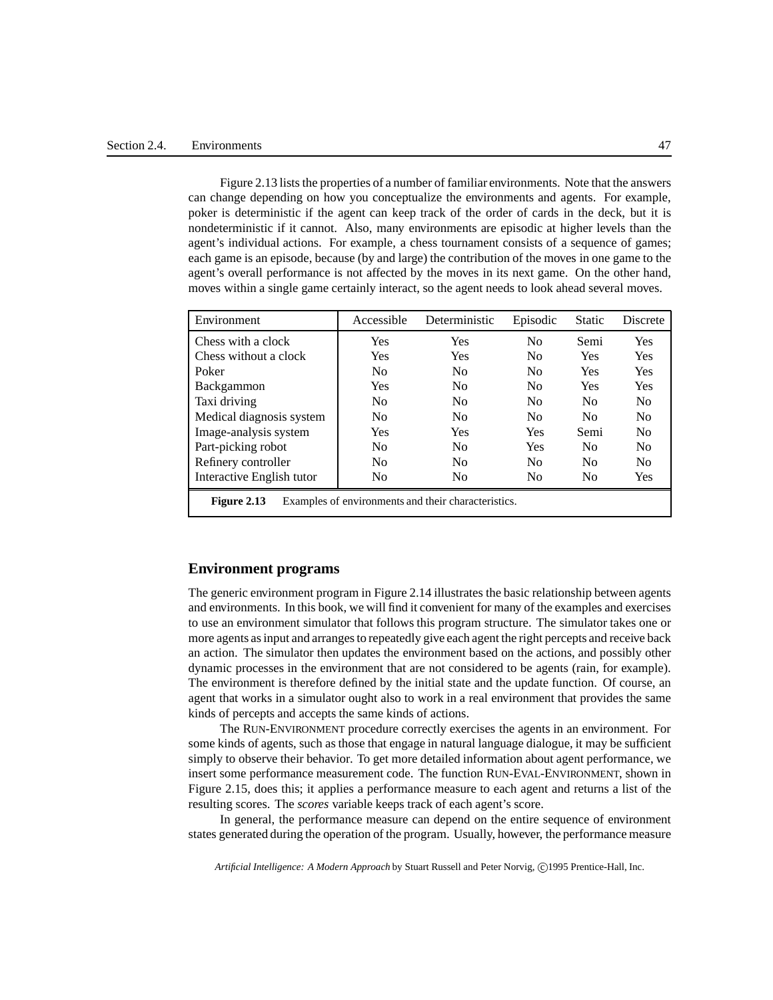Figure 2.13 lists the properties of a number of familiar environments. Note that the answers can change depending on how you conceptualize the environments and agents. For example, poker is deterministic if the agent can keep track of the order of cards in the deck, but it is nondeterministic if it cannot. Also, many environments are episodic at higher levels than the agent's individual actions. For example, a chess tournament consists of a sequence of games; each game is an episode, because (by and large) the contribution of the moves in one game to the agent's overall performance is not affected by the moves in its next game. On the other hand, moves within a single game certainly interact, so the agent needs to look ahead several moves.

| Environment               | Accessible     | Deterministic                                       | Episodic       | <b>Static</b>  | Discrete       |
|---------------------------|----------------|-----------------------------------------------------|----------------|----------------|----------------|
| Chess with a clock        | Yes            | Yes                                                 | N <sub>0</sub> | Semi           | Yes            |
| Chess without a clock     | Yes            | Yes                                                 | N <sub>0</sub> | Yes            | <b>Yes</b>     |
| Poker                     | N <sub>0</sub> | N <sub>0</sub>                                      | N <sub>0</sub> | Yes            | Yes            |
| Backgammon                | Yes            | N <sub>0</sub>                                      | N <sub>0</sub> | Yes            | Yes            |
| Taxi driving              | N <sub>0</sub> | N <sub>0</sub>                                      | N <sub>0</sub> | No             | N <sub>0</sub> |
| Medical diagnosis system  | N <sub>0</sub> | N <sub>0</sub>                                      | N <sub>0</sub> | N <sub>0</sub> | N <sub>0</sub> |
| Image-analysis system     | <b>Yes</b>     | Yes                                                 | Yes            | Semi           | N <sub>0</sub> |
| Part-picking robot        | N <sub>0</sub> | N <sub>0</sub>                                      | Yes            | N <sub>0</sub> | N <sub>0</sub> |
| Refinery controller       | N <sub>0</sub> | N <sub>0</sub>                                      | N <sub>0</sub> | N <sub>0</sub> | N <sub>0</sub> |
| Interactive English tutor | N <sub>0</sub> | N <sub>0</sub>                                      | N <sub>0</sub> | N <sub>0</sub> | Yes            |
| Figure 2.13               |                | Examples of environments and their characteristics. |                |                |                |

#### **Environment programs**

The generic environment program in Figure 2.14 illustrates the basic relationship between agents and environments. In this book, we willfind it convenient for many of the examples and exercises to use an environment simulator that follows this program structure. The simulator takes one or more agents as input and arranges to repeatedly give each agent the right percepts and receive back an action. The simulator then updates the environment based on the actions, and possibly other dynamic processes in the environment that are not considered to be agents (rain, for example). The environment is therefore defined by the initial state and the update function. Of course, an agent that works in a simulator ought also to work in a real environment that provides the same kinds of percepts and accepts the same kinds of actions.

The RUN-ENVIRONMENT procedure correctly exercises the agents in an environment. For some kinds of agents, such as those that engage in natural language dialogue, it may be sufficient simply to observe their behavior. To get more detailed information about agent performance, we insert some performance measurement code. The function RUN-EVAL-ENVIRONMENT, shown in Figure 2.15, does this; it applies a performance measure to each agent and returns a list of the resulting scores. The *scores* variable keeps track of each agent's score.

In general, the performance measure can depend on the entire sequence of environment states generated during the operation of the program. Usually, however, the performance measure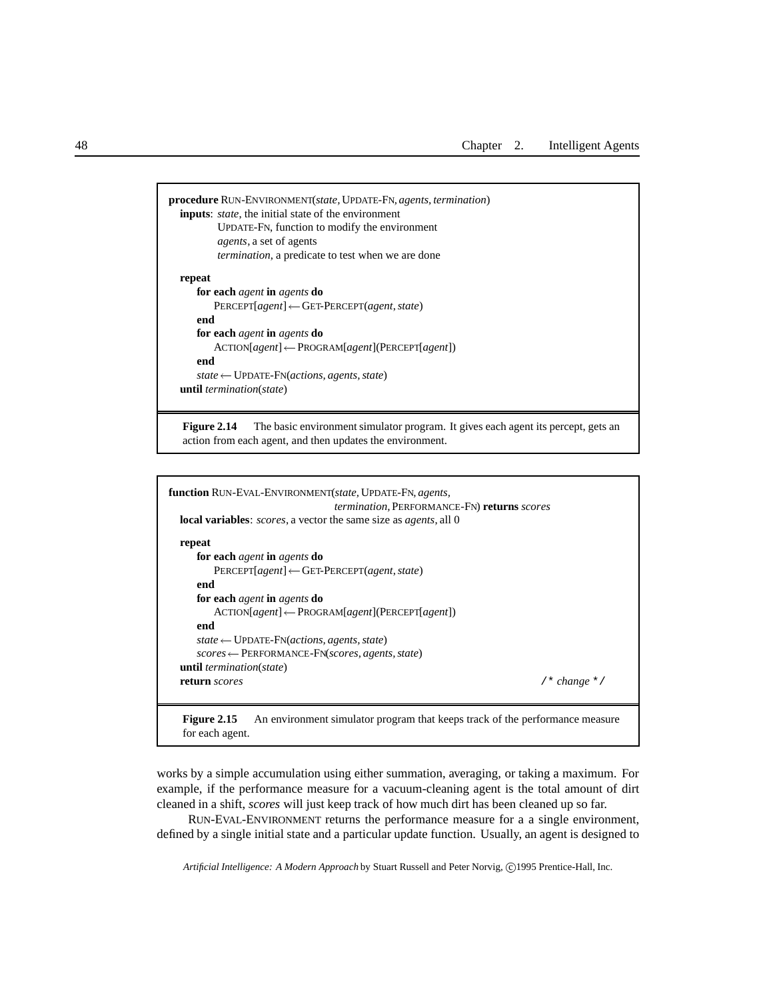| <b>procedure</b> RUN-ENVIRONMENT(state, UPDATE-FN, agents, termination)<br><b>inputs</b> : <i>state</i> , the initial state of the environment<br>UPDATE-FN, function to modify the environment<br><i>agents</i> , a set of agents<br><i>termination</i> , a predicate to test when we are done |
|-------------------------------------------------------------------------------------------------------------------------------------------------------------------------------------------------------------------------------------------------------------------------------------------------|
| repeat                                                                                                                                                                                                                                                                                          |
| for each <i>agent</i> in <i>agents</i> do                                                                                                                                                                                                                                                       |
| $PERCEPT[agent] \leftarrow GET-PERCEPT(agent, state)$                                                                                                                                                                                                                                           |
| end                                                                                                                                                                                                                                                                                             |
| for each <i>agent</i> in <i>agents</i> do                                                                                                                                                                                                                                                       |
| $\text{ACTION}[agent] \leftarrow \text{PROGRAM}[agent](\text{PERCEPT}[agent])$                                                                                                                                                                                                                  |
| end                                                                                                                                                                                                                                                                                             |
| $state \leftarrow \text{UPDATE-FN}(actions, agents, state)$                                                                                                                                                                                                                                     |
| <b>until</b> termination(state)                                                                                                                                                                                                                                                                 |

**Figure** 2.14 The basic environment simulator program. It gives each agent its percept, gets an action from each agent, and then updates the environment.

```
function RUN-EVAL-ENVIRONMENT(state, UPDATE-FN, agents,
                             termination, PERFORMANCE-FN) returns scores
local variables: scores, a vector the same size as agents, all 0
repeat
   for each agent in agents do
      PERCEPT[agent] ← GET-PERCEPT(agent,state)
   end
   for each agent in agents do
      ACTION[agent] ← PROGRAM[agent](PERCEPT[agent])
   end
   state \leftarrow \text{UPDATE-FN}(actions, agents, state)scores \leftarrow PERFORMANCE-FN(scores, agents, state)
until termination(state)
return scores /* change */
```
**Figure 2.15** An environment simulator program that keeps track of the performance measure for each agent.

works by a simple accumulation using either summation, averaging, or taking a maximum. For example, if the performance measure for a vacuum-cleaning agent is the total amount of dirt cleaned in a shift, *scores* will just keep track of how much dirt has been cleaned up so far.

RUN-EVAL-ENVIRONMENT returns the performance measure for a a single environment, defined by a single initial state and a particular update function. Usually, an agent is designed to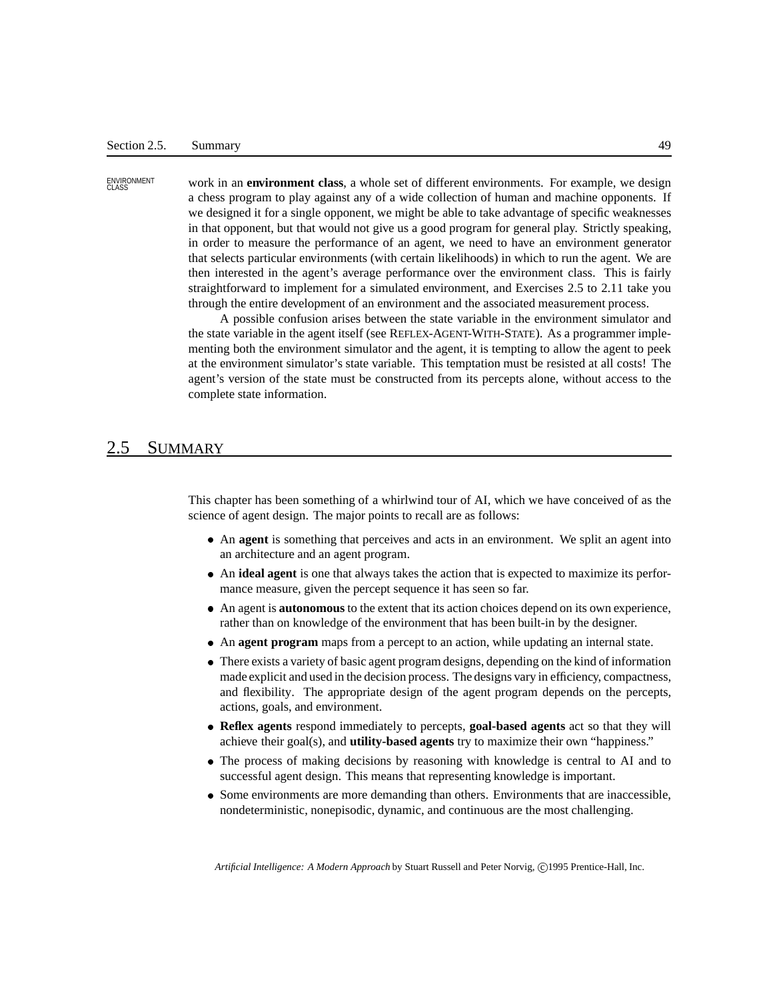ENVIRONMENT<br>CLASS

#### work in an **environment class**, a whole set of different environments. For example, we design a chess program to play against any of a wide collection of human and machine opponents. If we designed it for a single opponent, we might be able to take advantage of specific weaknesses in that opponent, but that would not give us a good program for general play. Strictly speaking, in order to measure the performance of an agent, we need to have an environment generator that selects particular environments (with certain likelihoods) in which to run the agent. We are then interested in the agent's average performance over the environment class. This is fairly straightforward to implement for a simulated environment, and Exercises 2.5 to 2.11 take you through the entire development of an environment and the associated measurement process.

A possible confusion arises between the state variable in the environment simulator and the state variable in the agent itself (see REFLEX-AGENT-WITH-STATE). As a programmer implementing both the environment simulator and the agent, it is tempting to allow the agent to peek at the environment simulator's state variable. This temptation must be resisted at all costs! The agent's version of the state must be constructed from its percepts alone, without access to the complete state information.

#### 2.5 SUMMARY

This chapter has been something of a whirlwind tour of AI, which we have conceived of as the science of agent design. The major points to recall are as follows:

- An **agent** is something that perceives and acts in an environment. We split an agent into an architecture and an agent program.
- An **ideal agent** is one that always takes the action that is expected to maximize its performance measure, given the percept sequence it has seen so far.
- An agent is **autonomous** to the extent thatits action choices depend on its own experience, rather than on knowledge of the environment that has been built-in by the designer.
- An **agent program** maps from a percept to an action, while updating an internal state.
- There exists a variety of basic agent program designs, depending on the kind of information made explicit and used in the decision process. The designs vary in efficiency, compactness, and flexibility. The appropriate design of the agent program depends on the percepts, actions, goals, and environment.
- **Reflex agents** respond immediately to percepts, **goal-based agents** act so that they will achieve their goal(s), and **utility-based agents** try to maximize their own "happiness."
- The process of making decisions by reasoning with knowledge is central to AI and to successful agent design. This means that representing knowledge is important.
- Some environments are more demanding than others. Environments that are inaccessible, nondeterministic, nonepisodic, dynamic, and continuous are the most challenging.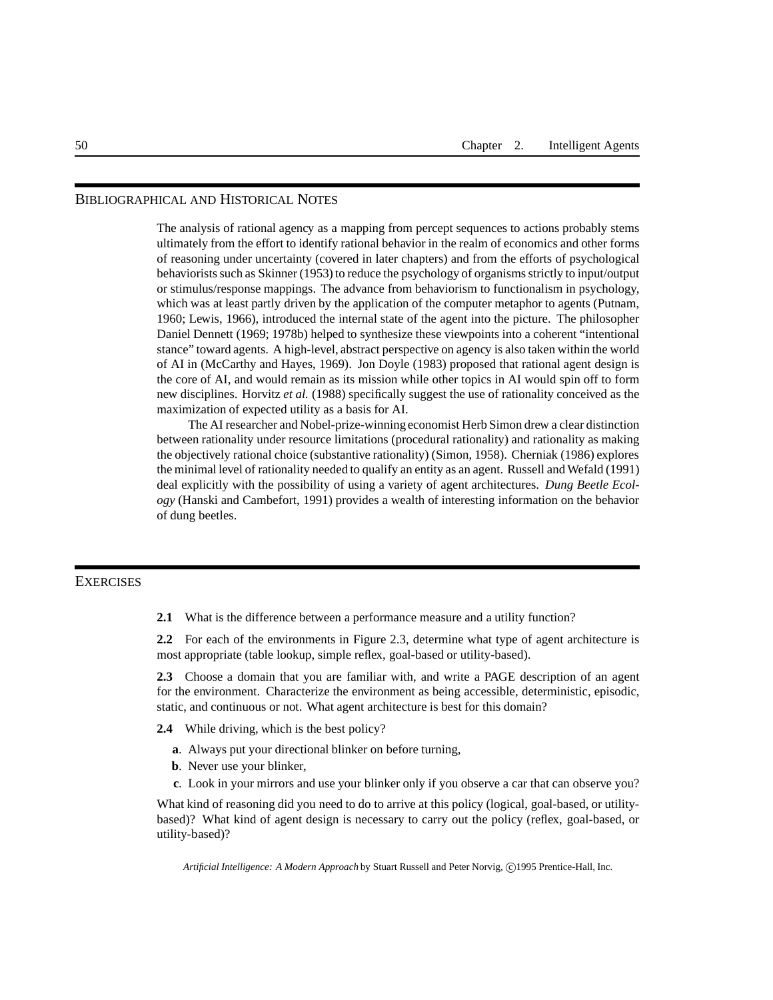#### BIBLIOGRAPHICAL AND HISTORICAL NOTES

The analysis of rational agency as a mapping from percept sequences to actions probably stems ultimately from the effort to identify rational behavior in the realm of economics and other forms of reasoning under uncertainty (covered in later chapters) and from the efforts of psychological behaviorists such as Skinner (1953) to reduce the psychology of organisms strictly to input/output or stimulus/response mappings. The advance from behaviorism to functionalism in psychology, which was at least partly driven by the application of the computer metaphor to agents (Putnam, 1960; Lewis, 1966), introduced the internal state of the agent into the picture. The philosopher Daniel Dennett (1969; 1978b) helped to synthesize these viewpoints into a coherent "intentional stance" toward agents. A high-level, abstract perspective on agency is also taken within the world of AI in (McCarthy and Hayes, 1969). Jon Doyle (1983) proposed that rational agent design is the core of AI, and would remain as its mission while other topics in AI would spin off to form new disciplines. Horvitz *et al.* (1988) specifically suggest the use of rationality conceived as the maximization of expected utility as a basis for AI.

The AI researcher and Nobel-prize-winning economist HerbSimon drew a clear distinction between rationality under resource limitations (procedural rationality) and rationality as making the objectively rational choice (substantive rationality) (Simon, 1958). Cherniak (1986) explores the minimallevel of rationality needed to qualify an entity as an agent. Russell and Wefald (1991) deal explicitly with the possibility of using a variety of agent architectures. *Dung Beetle Ecology* (Hanski and Cambefort, 1991) provides a wealth of interesting information on the behavior of dung beetles.

#### **EXERCISES**

**2.1** What is the difference between a performance measure and a utility function?

**2.2** For each of the environments in Figure 2.3, determine what type of agent architecture is most appropriate (table lookup, simple reflex, goal-based or utility-based).

**2.3** Choose a domain that you are familiar with, and write a PAGE description of an agent for the environment. Characterize the environment as being accessible, deterministic, episodic, static, and continuous or not. What agent architecture is best for this domain?

**2.4** While driving, which is the best policy?

- **a**. Always put your directional blinker on before turning,
- **b**. Never use your blinker,
- **c**. Look in your mirrors and use your blinker only if you observe a car that can observe you?

What kind of reasoning did you need to do to arrive at this policy (logical, goal-based, or utilitybased)? What kind of agent design is necessary to carry out the policy (reflex, goal-based, or utility-based)?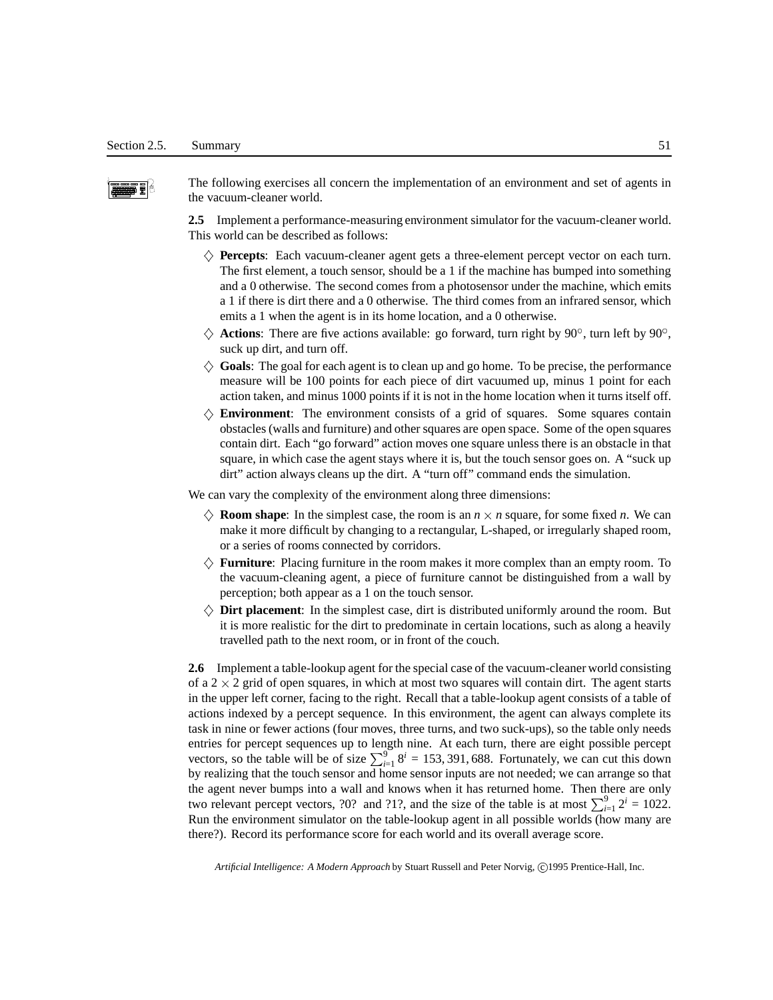## ■■■

The following exercises all concern the implementation of an environment and set of agents in the vacuum-cleaner world.

**2.5** Implement a performance-measuring environment simulator for the vacuum-cleaner world. This world can be described as follows:

- **Percepts**: Each vacuum-cleaner agent gets a three-element percept vector on each turn. The first element, a touch sensor, should be a 1 if the machine has bumped into something and a 0 otherwise. The second comes from a photosensor under the machine, which emits a 1 if there is dirt there and a 0 otherwise. The third comes from an infrared sensor, which emits a 1 when the agent is in its home location, and a 0 otherwise.
- **Actions**: There are five actions available: go forward, turn right by  $90^\circ$ , turn left by  $90^\circ$ , ♦ suck up dirt, and turn off.
- $\Diamond$  **Goals**: The goal for each agent is to clean up and go home. To be precise, the performance measure will be 100 points for each piece of dirt vacuumed up, minus 1 point for each action taken, and minus 1000 points if it is not in the home location when it turns itself off.
- $\Diamond$  **Environment**: The environment consists of a grid of squares. Some squares contain obstacles (walls and furniture) and other squares are open space. Some of the open squares contain dirt. Each "go forward" action moves one square unless there is an obstacle in that square, in which case the agent stays where it is, but the touch sensor goes on. A "suck up dirt" action always cleans up the dirt. A "turn off" command ends the simulation.

We can vary the complexity of the environment along three dimensions:

- $\Diamond$  **Room shape**: In the simplest case, the room is an  $n \times n$  square, for some fixed *n*. We can make it more difficult by changing to a rectangular, L-shaped, or irregularly shaped room, or a series of rooms connected by corridors.
- $\Diamond$  **Furniture**: Placing furniture in the room makes it more complex than an empty room. To the vacuum-cleaning agent, a piece of furniture cannot be distinguished from a wall by perception; both appear as a 1 on the touch sensor.
- $\diamondsuit$  **Dirt placement**: In the simplest case, dirt is distributed uniformly around the room. But it is more realistic for the dirt to predominate in certain locations, such as along a heavily travelled path to the next room, or in front of the couch.

**2.6** Implement a table-lookup agent for the special case of the vacuum-cleaner world consisting of a  $2 \times 2$  grid of open squares, in which at most two squares will contain dirt. The agent starts in the upper left corner, facing to the right. Recall that a table-lookup agent consists of a table of actions indexed by a percept sequence. In this environment, the agent can always complete its task in nine or fewer actions (four moves, three turns, and two suck-ups), so the table only needs entries for percept sequences up to length nine. At each turn, there are eight possible percept vectors, so the table will be of size  $\sum_{i=1}^{9} 8^i = 153,391,688$ . Fortunately, we can cut this down by realizing that the touch sensor and home sensor inputs are not needed; we can arrange so that the agent never bumps into a wall and knows when it has returned home. Then there are only two relevant percept vectors, ?0? and ?1?, and the size of the table is at most  $\sum_{i=1}^{9} 2^i = 1022$ . Run the environment simulator on the table-lookup agent in all possible worlds (how many are there?). Record its performance score for each world and its overall average score.